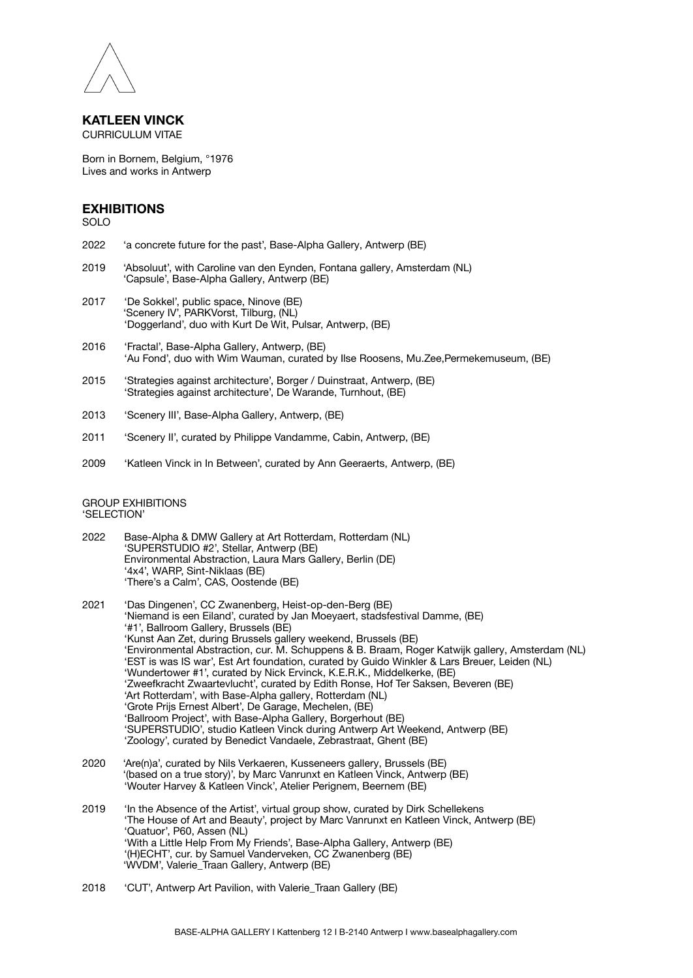

## **KATLEEN VINCK** CURRICULUM VITAE

Born in Bornem, Belgium, °1976 Lives and works in Antwerp

## **EXHIBITIONS**

SOLO

- 2022 'a concrete future for the past', Base-Alpha Gallery, Antwerp (BE)
- 2019 'Absoluut', with Caroline van den Eynden, Fontana gallery, Amsterdam (NL) 'Capsule', Base-Alpha Gallery, Antwerp (BE)
- 2017 'De Sokkel', public space, Ninove (BE) 'Scenery IV', PARKVorst, Tilburg, (NL) 'Doggerland', duo with Kurt De Wit, Pulsar, Antwerp, (BE)
- 2016 'Fractal', Base-Alpha Gallery, Antwerp, (BE) 'Au Fond', duo with Wim Wauman, curated by Ilse Roosens, Mu.Zee,Permekemuseum, (BE)
- 2015 'Strategies against architecture', Borger / Duinstraat, Antwerp, (BE) 'Strategies against architecture', De Warande, Turnhout, (BE)
- 2013 'Scenery III', Base-Alpha Gallery, Antwerp, (BE)
- 2011 'Scenery II', curated by Philippe Vandamme, Cabin, Antwerp, (BE)
- 2009 'Katleen Vinck in In Between', curated by Ann Geeraerts, Antwerp, (BE)

## GROUP EXHIBITIONS 'SELECTION'

- 2022 Base-Alpha & DMW Gallery at Art Rotterdam, Rotterdam (NL) 'SUPERSTUDIO #2', Stellar, Antwerp (BE) Environmental Abstraction, Laura Mars Gallery, Berlin (DE) '4x4', WARP, Sint-Niklaas (BE) 'There's a Calm', CAS, Oostende (BE)
- 2021 'Das Dingenen', CC Zwanenberg, Heist-op-den-Berg (BE) 'Niemand is een Eiland', curated by Jan Moeyaert, stadsfestival Damme, (BE) '#1', Ballroom Gallery, Brussels (BE) 'Kunst Aan Zet, during Brussels gallery weekend, Brussels (BE) 'Environmental Abstraction, cur. M. Schuppens & B. Braam, Roger Katwijk gallery, Amsterdam (NL) 'EST is was IS war', Est Art foundation, curated by Guido Winkler & Lars Breuer, Leiden (NL) 'Wundertower #1', curated by Nick Ervinck, K.E.R.K., Middelkerke, (BE) 'Zweefkracht Zwaartevlucht', curated by Edith Ronse, Hof Ter Saksen, Beveren (BE) 'Art Rotterdam', with Base-Alpha gallery, Rotterdam (NL) 'Grote Prijs Ernest Albert', De Garage, Mechelen, (BE) 'Ballroom Project', with Base-Alpha Gallery, Borgerhout (BE) 'SUPERSTUDIO', studio Katleen Vinck during Antwerp Art Weekend, Antwerp (BE) 'Zoology', curated by Benedict Vandaele, Zebrastraat, Ghent (BE)
- 2020 'Are(n)a', curated by Nils Verkaeren, Kusseneers gallery, Brussels (BE) '(based on a true story)', by Marc Vanrunxt en Katleen Vinck, Antwerp (BE) 'Wouter Harvey & Katleen Vinck', Atelier Perignem, Beernem (BE)
- 2019 'In the Absence of the Artist', virtual group show, curated by Dirk Schellekens 'The House of Art and Beauty', project by Marc Vanrunxt en Katleen Vinck, Antwerp (BE) 'Quatuor', P60, Assen (NL) 'With a Little Help From My Friends', Base-Alpha Gallery, Antwerp (BE) '(H)ECHT', cur. by Samuel Vanderveken, CC Zwanenberg (BE) 'WVDM', Valerie\_Traan Gallery, Antwerp (BE)
- 2018 'CUT', Antwerp Art Pavilion, with Valerie\_Traan Gallery (BE)